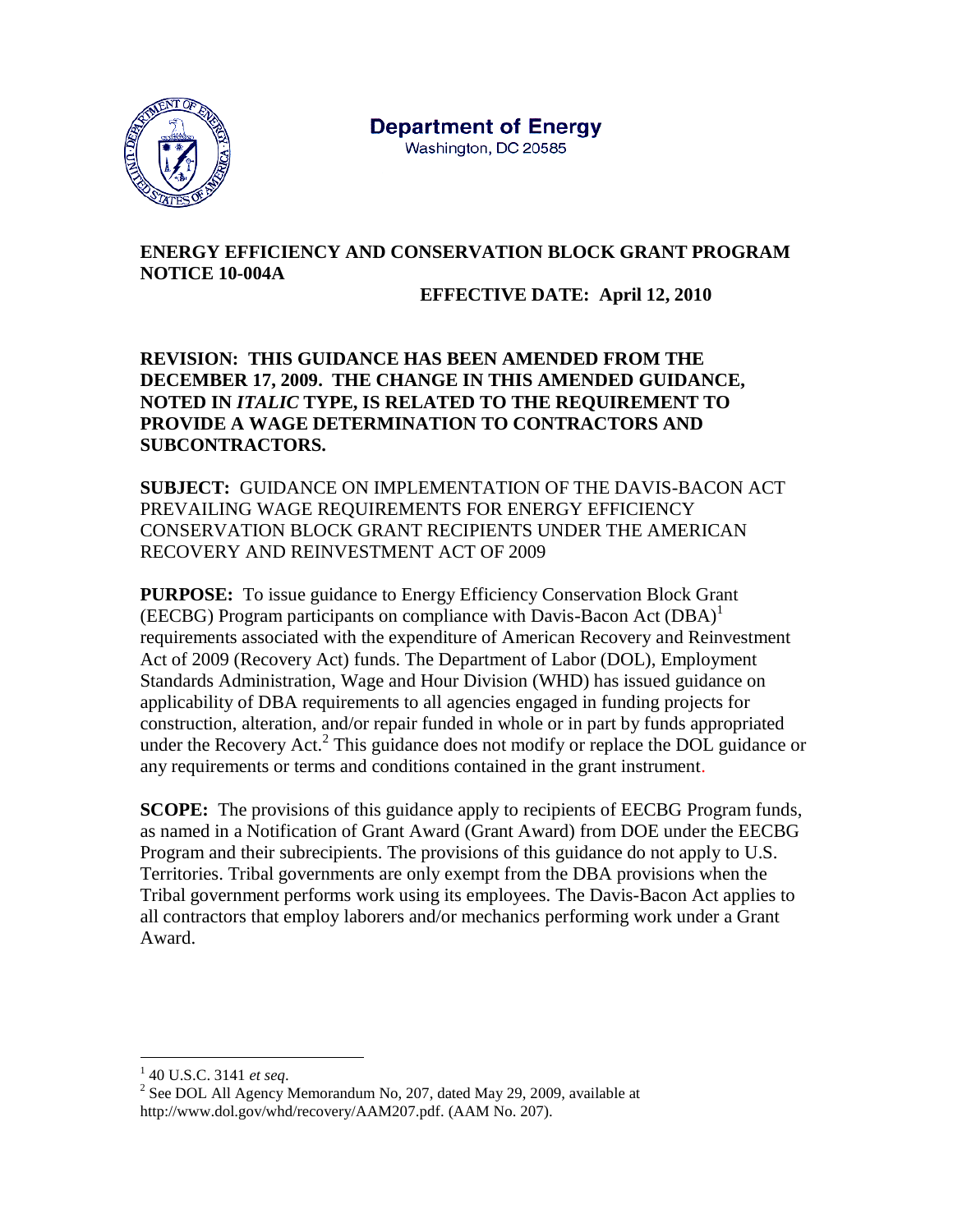

# **ENERGY EFFICIENCY AND CONSERVATION BLOCK GRANT PROGRAM NOTICE 10-004A**

## **EFFECTIVE DATE: April 12, 2010**

**REVISION: THIS GUIDANCE HAS BEEN AMENDED FROM THE DECEMBER 17, 2009. THE CHANGE IN THIS AMENDED GUIDANCE, NOTED IN** *ITALIC* **TYPE, IS RELATED TO THE REQUIREMENT TO PROVIDE A WAGE DETERMINATION TO CONTRACTORS AND SUBCONTRACTORS.**

**SUBJECT:** GUIDANCE ON IMPLEMENTATION OF THE DAVIS-BACON ACT PREVAILING WAGE REQUIREMENTS FOR ENERGY EFFICIENCY CONSERVATION BLOCK GRANT RECIPIENTS UNDER THE AMERICAN RECOVERY AND REINVESTMENT ACT OF 2009

**PURPOSE:** To issue guidance to Energy Efficiency Conservation Block Grant (EECBG) Program participants on compliance with Davis-Bacon Act (DBA)<sup>1</sup> requirements associated with the expenditure of American Recovery and Reinvestment Act of 2009 (Recovery Act) funds. The Department of Labor (DOL), Employment Standards Administration, Wage and Hour Division (WHD) has issued guidance on applicability of DBA requirements to all agencies engaged in funding projects for construction, alteration, and/or repair funded in whole or in part by funds appropriated under the Recovery Act.<sup>2</sup> This guidance does not modify or replace the DOL guidance or any requirements or terms and conditions contained in the grant instrument.

**SCOPE:** The provisions of this guidance apply to recipients of EECBG Program funds, as named in a Notification of Grant Award (Grant Award) from DOE under the EECBG Program and their subrecipients. The provisions of this guidance do not apply to U.S. Territories. Tribal governments are only exempt from the DBA provisions when the Tribal government performs work using its employees. The Davis-Bacon Act applies to all contractors that employ laborers and/or mechanics performing work under a Grant Award.

 $\overline{a}$ 

<sup>1</sup> 40 U.S.C. 3141 *et seq*.

<sup>&</sup>lt;sup>2</sup> See DOL All Agency Memorandum No, 207, dated May 29, 2009, available at http://www.dol.gov/whd/recovery/AAM207.pdf. (AAM No. 207).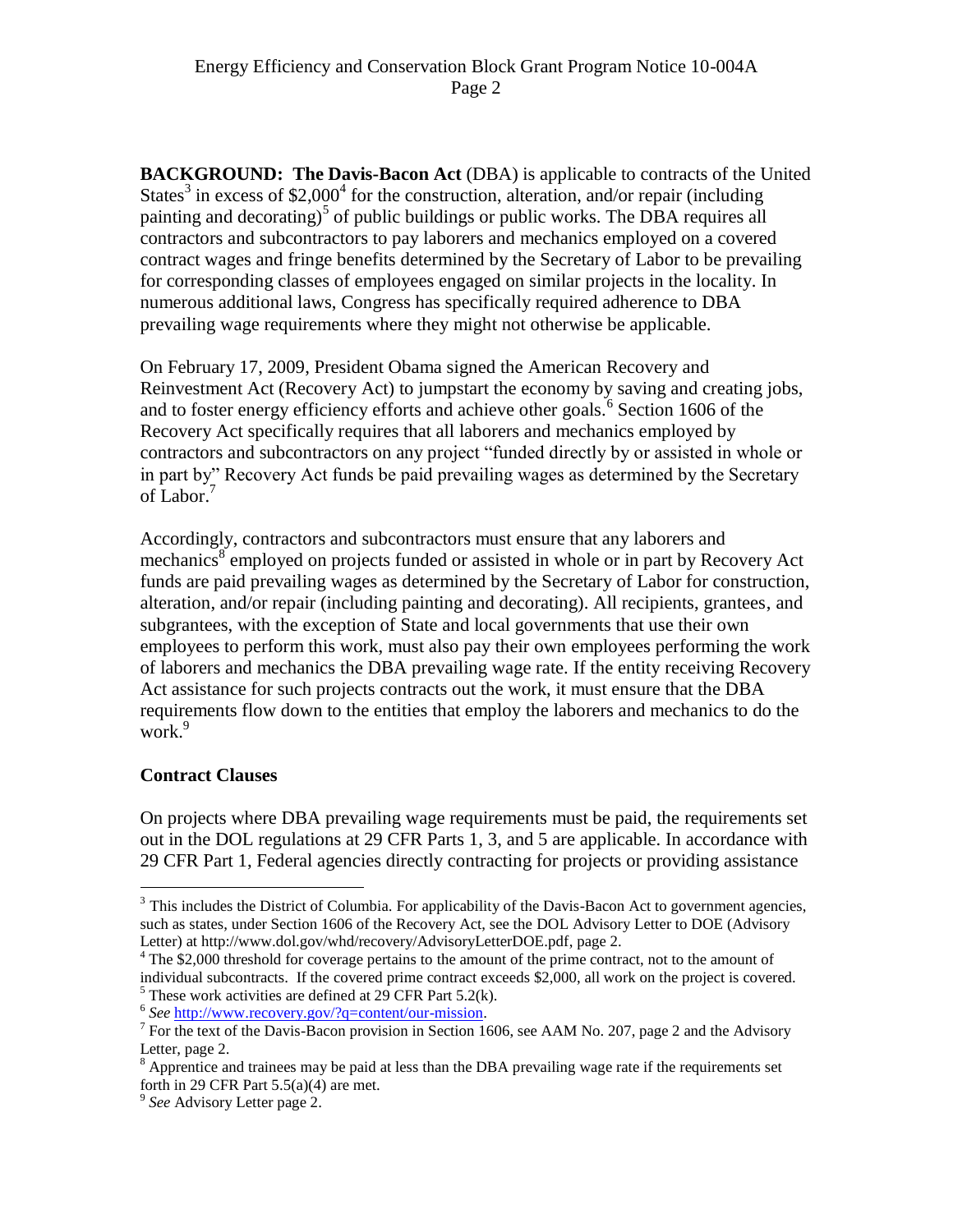**BACKGROUND: The Davis-Bacon Act** (DBA) is applicable to contracts of the United States<sup>3</sup> in excess of \$2,000<sup>4</sup> for the construction, alteration, and/or repair (including painting and decorating)<sup>5</sup> of public buildings or public works. The DBA requires all contractors and subcontractors to pay laborers and mechanics employed on a covered contract wages and fringe benefits determined by the Secretary of Labor to be prevailing for corresponding classes of employees engaged on similar projects in the locality. In numerous additional laws, Congress has specifically required adherence to DBA prevailing wage requirements where they might not otherwise be applicable.

On February 17, 2009, President Obama signed the American Recovery and Reinvestment Act (Recovery Act) to jumpstart the economy by saving and creating jobs, and to foster energy efficiency efforts and achieve other goals.<sup>6</sup> Section 1606 of the Recovery Act specifically requires that all laborers and mechanics employed by contractors and subcontractors on any project "funded directly by or assisted in whole or in part by" Recovery Act funds be paid prevailing wages as determined by the Secretary of Labor.<sup>7</sup>

Accordingly, contractors and subcontractors must ensure that any laborers and mechanics<sup>8</sup> employed on projects funded or assisted in whole or in part by Recovery Act funds are paid prevailing wages as determined by the Secretary of Labor for construction, alteration, and/or repair (including painting and decorating). All recipients, grantees, and subgrantees, with the exception of State and local governments that use their own employees to perform this work, must also pay their own employees performing the work of laborers and mechanics the DBA prevailing wage rate. If the entity receiving Recovery Act assistance for such projects contracts out the work, it must ensure that the DBA requirements flow down to the entities that employ the laborers and mechanics to do the work.<sup>9</sup>

### **Contract Clauses**

 $\overline{a}$ 

On projects where DBA prevailing wage requirements must be paid, the requirements set out in the DOL regulations at 29 CFR Parts 1, 3, and 5 are applicable. In accordance with 29 CFR Part 1, Federal agencies directly contracting for projects or providing assistance

<sup>&</sup>lt;sup>3</sup> This includes the District of Columbia. For applicability of the Davis-Bacon Act to government agencies, such as states, under Section 1606 of the Recovery Act, see the DOL Advisory Letter to DOE (Advisory Letter) at http://www.dol.gov/whd/recovery/AdvisoryLetterDOE.pdf, page 2.

<sup>&</sup>lt;sup>4</sup> The \$2,000 threshold for coverage pertains to the amount of the prime contract, not to the amount of individual subcontracts. If the covered prime contract exceeds \$2,000, all work on the project is covered.  $<sup>5</sup>$  These work activities are defined at 29 CFR Part 5.2(k).</sup>

<sup>&</sup>lt;sup>6</sup> See [http://www.recovery.gov/?q=content/our-mission.](http://www.recovery.gov/?q=content/our-mission)

<sup>&</sup>lt;sup>7</sup> For the text of the Davis-Bacon provision in Section 1606, see AAM No. 207, page 2 and the Advisory Letter, page 2.

<sup>&</sup>lt;sup>8</sup> Apprentice and trainees may be paid at less than the DBA prevailing wage rate if the requirements set forth in 29 CFR Part  $5.5(a)(4)$  are met.

<sup>9</sup> *See* Advisory Letter page 2.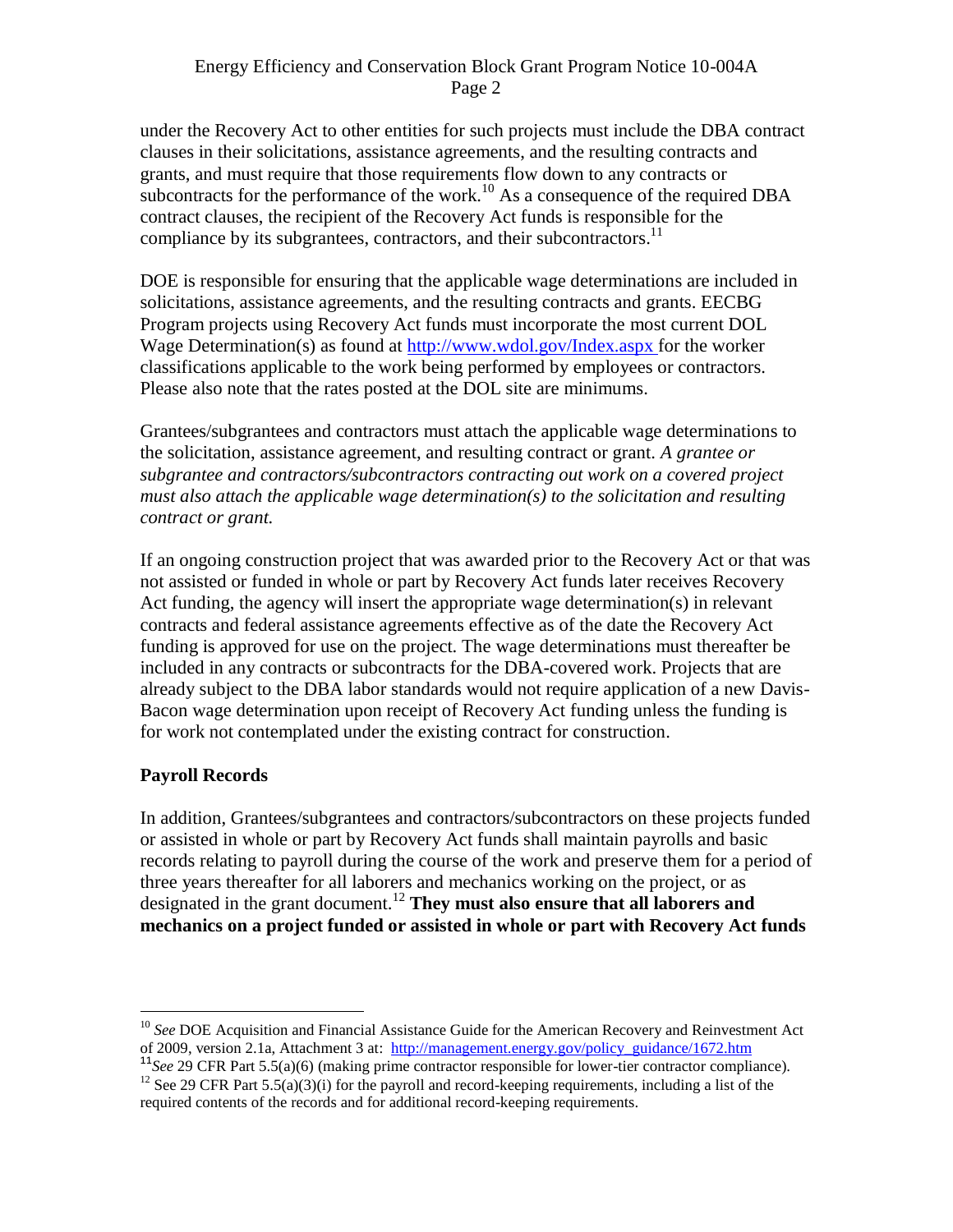#### Energy Efficiency and Conservation Block Grant Program Notice 10-004A Page 2

under the Recovery Act to other entities for such projects must include the DBA contract clauses in their solicitations, assistance agreements, and the resulting contracts and grants, and must require that those requirements flow down to any contracts or subcontracts for the performance of the work.<sup>10</sup> As a consequence of the required DBA contract clauses, the recipient of the Recovery Act funds is responsible for the compliance by its subgrantees, contractors, and their subcontractors.<sup>11</sup>

DOE is responsible for ensuring that the applicable wage determinations are included in solicitations, assistance agreements, and the resulting contracts and grants. EECBG Program projects using Recovery Act funds must incorporate the most current DOL Wage Determination(s) as found at http://www.wdol.gov/Index.aspx for the worker classifications applicable to the work being performed by employees or contractors. Please also note that the rates posted at the DOL site are minimums.

Grantees/subgrantees and contractors must attach the applicable wage determinations to the solicitation, assistance agreement, and resulting contract or grant. *A grantee or subgrantee and contractors/subcontractors contracting out work on a covered project must also attach the applicable wage determination(s) to the solicitation and resulting contract or grant.*

If an ongoing construction project that was awarded prior to the Recovery Act or that was not assisted or funded in whole or part by Recovery Act funds later receives Recovery Act funding, the agency will insert the appropriate wage determination(s) in relevant contracts and federal assistance agreements effective as of the date the Recovery Act funding is approved for use on the project. The wage determinations must thereafter be included in any contracts or subcontracts for the DBA-covered work. Projects that are already subject to the DBA labor standards would not require application of a new Davis-Bacon wage determination upon receipt of Recovery Act funding unless the funding is for work not contemplated under the existing contract for construction.

### **Payroll Records**

 $\overline{a}$ 

In addition, Grantees/subgrantees and contractors/subcontractors on these projects funded or assisted in whole or part by Recovery Act funds shall maintain payrolls and basic records relating to payroll during the course of the work and preserve them for a period of three years thereafter for all laborers and mechanics working on the project, or as designated in the grant document.<sup>12</sup> **They must also ensure that all laborers and mechanics on a project funded or assisted in whole or part with Recovery Act funds** 

<sup>&</sup>lt;sup>10</sup> See DOE Acquisition and Financial Assistance Guide for the American Recovery and Reinvestment Act of 2009, version 2.1a, Attachment 3 at: [http://management.energy.gov/policy\\_guidance/1672.htm](http://management.energy.gov/policy_guidance/1672.htm)

<sup>11</sup>*See* 29 CFR Part 5.5(a)(6) (making prime contractor responsible for lower-tier contractor compliance).

<sup>&</sup>lt;sup>12</sup> See 29 CFR Part  $5.5(a)(3)(i)$  for the payroll and record-keeping requirements, including a list of the required contents of the records and for additional record-keeping requirements.